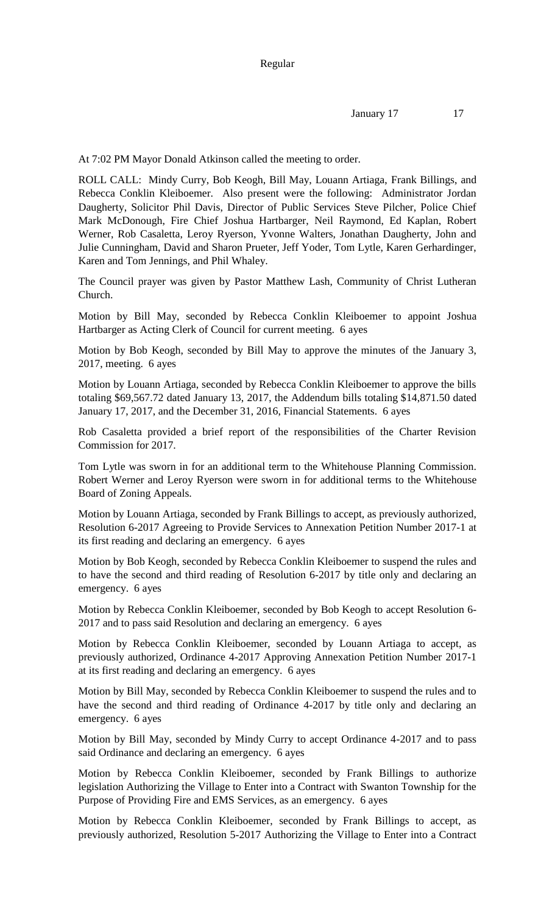At 7:02 PM Mayor Donald Atkinson called the meeting to order.

ROLL CALL: Mindy Curry, Bob Keogh, Bill May, Louann Artiaga, Frank Billings, and Rebecca Conklin Kleiboemer. Also present were the following: Administrator Jordan Daugherty, Solicitor Phil Davis, Director of Public Services Steve Pilcher, Police Chief Mark McDonough, Fire Chief Joshua Hartbarger, Neil Raymond, Ed Kaplan, Robert Werner, Rob Casaletta, Leroy Ryerson, Yvonne Walters, Jonathan Daugherty, John and Julie Cunningham, David and Sharon Prueter, Jeff Yoder, Tom Lytle, Karen Gerhardinger, Karen and Tom Jennings, and Phil Whaley.

The Council prayer was given by Pastor Matthew Lash, Community of Christ Lutheran Church.

Motion by Bill May, seconded by Rebecca Conklin Kleiboemer to appoint Joshua Hartbarger as Acting Clerk of Council for current meeting. 6 ayes

Motion by Bob Keogh, seconded by Bill May to approve the minutes of the January 3, 2017, meeting. 6 ayes

Motion by Louann Artiaga, seconded by Rebecca Conklin Kleiboemer to approve the bills totaling \$69,567.72 dated January 13, 2017, the Addendum bills totaling \$14,871.50 dated January 17, 2017, and the December 31, 2016, Financial Statements. 6 ayes

Rob Casaletta provided a brief report of the responsibilities of the Charter Revision Commission for 2017.

Tom Lytle was sworn in for an additional term to the Whitehouse Planning Commission. Robert Werner and Leroy Ryerson were sworn in for additional terms to the Whitehouse Board of Zoning Appeals.

Motion by Louann Artiaga, seconded by Frank Billings to accept, as previously authorized, Resolution 6-2017 Agreeing to Provide Services to Annexation Petition Number 2017-1 at its first reading and declaring an emergency. 6 ayes

Motion by Bob Keogh, seconded by Rebecca Conklin Kleiboemer to suspend the rules and to have the second and third reading of Resolution 6-2017 by title only and declaring an emergency. 6 ayes

Motion by Rebecca Conklin Kleiboemer, seconded by Bob Keogh to accept Resolution 6- 2017 and to pass said Resolution and declaring an emergency. 6 ayes

Motion by Rebecca Conklin Kleiboemer, seconded by Louann Artiaga to accept, as previously authorized, Ordinance 4-2017 Approving Annexation Petition Number 2017-1 at its first reading and declaring an emergency. 6 ayes

Motion by Bill May, seconded by Rebecca Conklin Kleiboemer to suspend the rules and to have the second and third reading of Ordinance 4-2017 by title only and declaring an emergency. 6 ayes

Motion by Bill May, seconded by Mindy Curry to accept Ordinance 4-2017 and to pass said Ordinance and declaring an emergency. 6 ayes

Motion by Rebecca Conklin Kleiboemer, seconded by Frank Billings to authorize legislation Authorizing the Village to Enter into a Contract with Swanton Township for the Purpose of Providing Fire and EMS Services, as an emergency. 6 ayes

Motion by Rebecca Conklin Kleiboemer, seconded by Frank Billings to accept, as previously authorized, Resolution 5-2017 Authorizing the Village to Enter into a Contract